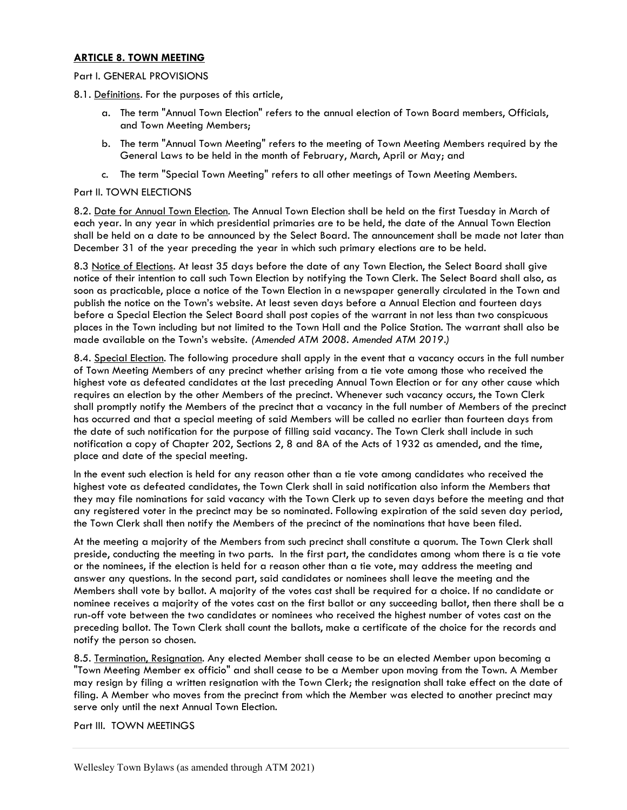## ARTICLE 8. TOWN MEETING

## Part I. GENERAL PROVISIONS

8.1. Definitions. For the purposes of this article,

- a. The term "Annual Town Election" refers to the annual election of Town Board members, Officials, and Town Meeting Members;
- b. The term "Annual Town Meeting" refers to the meeting of Town Meeting Members required by the General Laws to be held in the month of February, March, April or May; and
- c. The term "Special Town Meeting" refers to all other meetings of Town Meeting Members.

## Part II. TOWN ELECTIONS

8.2. Date for Annual Town Election. The Annual Town Election shall be held on the first Tuesday in March of each year. In any year in which presidential primaries are to be held, the date of the Annual Town Election shall be held on a date to be announced by the Select Board. The announcement shall be made not later than December 31 of the year preceding the year in which such primary elections are to be held.

8.3 Notice of Elections. At least 35 days before the date of any Town Election, the Select Board shall give notice of their intention to call such Town Election by notifying the Town Clerk. The Select Board shall also, as soon as practicable, place a notice of the Town Election in a newspaper generally circulated in the Town and publish the notice on the Town's website. At least seven days before a Annual Election and fourteen days before a Special Election the Select Board shall post copies of the warrant in not less than two conspicuous places in the Town including but not limited to the Town Hall and the Police Station. The warrant shall also be made available on the Town's website. (Amended ATM 2008. Amended ATM 2019.)

8.4. Special Election. The following procedure shall apply in the event that a vacancy occurs in the full number of Town Meeting Members of any precinct whether arising from a tie vote among those who received the highest vote as defeated candidates at the last preceding Annual Town Election or for any other cause which requires an election by the other Members of the precinct. Whenever such vacancy occurs, the Town Clerk shall promptly notify the Members of the precinct that a vacancy in the full number of Members of the precinct has occurred and that a special meeting of said Members will be called no earlier than fourteen days from the date of such notification for the purpose of filling said vacancy. The Town Clerk shall include in such notification a copy of Chapter 202, Sections 2, 8 and 8A of the Acts of 1932 as amended, and the time, place and date of the special meeting.

In the event such election is held for any reason other than a tie vote among candidates who received the highest vote as defeated candidates, the Town Clerk shall in said notification also inform the Members that they may file nominations for said vacancy with the Town Clerk up to seven days before the meeting and that any registered voter in the precinct may be so nominated. Following expiration of the said seven day period, the Town Clerk shall then notify the Members of the precinct of the nominations that have been filed.

At the meeting a majority of the Members from such precinct shall constitute a quorum. The Town Clerk shall preside, conducting the meeting in two parts. In the first part, the candidates among whom there is a tie vote or the nominees, if the election is held for a reason other than a tie vote, may address the meeting and answer any questions. In the second part, said candidates or nominees shall leave the meeting and the Members shall vote by ballot. A majority of the votes cast shall be required for a choice. If no candidate or nominee receives a majority of the votes cast on the first ballot or any succeeding ballot, then there shall be a run-off vote between the two candidates or nominees who received the highest number of votes cast on the preceding ballot. The Town Clerk shall count the ballots, make a certificate of the choice for the records and notify the person so chosen.

8.5. Termination, Resignation. Any elected Member shall cease to be an elected Member upon becoming a "Town Meeting Member ex officio" and shall cease to be a Member upon moving from the Town. A Member may resign by filing a written resignation with the Town Clerk; the resignation shall take effect on the date of filing. A Member who moves from the precinct from which the Member was elected to another precinct may serve only until the next Annual Town Election.

Part III. TOWN MEETINGS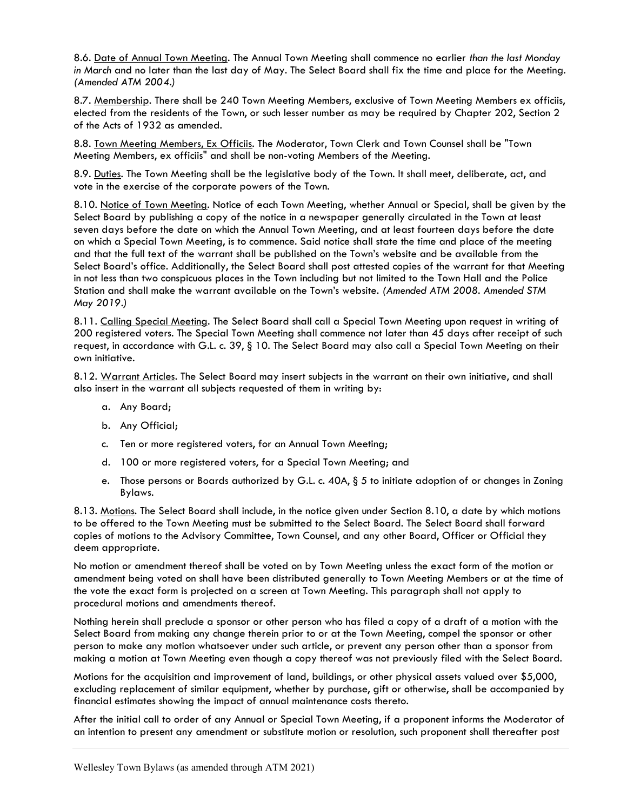8.6. Date of Annual Town Meeting. The Annual Town Meeting shall commence no earlier than the last Monday in March and no later than the last day of May. The Select Board shall fix the time and place for the Meeting. (Amended ATM 2004.)

8.7. Membership. There shall be 240 Town Meeting Members, exclusive of Town Meeting Members ex officiis, elected from the residents of the Town, or such lesser number as may be required by Chapter 202, Section 2 of the Acts of 1932 as amended.

8.8. Town Meeting Members, Ex Officiis. The Moderator, Town Clerk and Town Counsel shall be "Town Meeting Members, ex officiis" and shall be non-voting Members of the Meeting.

8.9. Duties. The Town Meeting shall be the legislative body of the Town. It shall meet, deliberate, act, and vote in the exercise of the corporate powers of the Town.

8.10. Notice of Town Meeting. Notice of each Town Meeting, whether Annual or Special, shall be given by the Select Board by publishing a copy of the notice in a newspaper generally circulated in the Town at least seven days before the date on which the Annual Town Meeting, and at least fourteen days before the date on which a Special Town Meeting, is to commence. Said notice shall state the time and place of the meeting and that the full text of the warrant shall be published on the Town's website and be available from the Select Board's office. Additionally, the Select Board shall post attested copies of the warrant for that Meeting in not less than two conspicuous places in the Town including but not limited to the Town Hall and the Police Station and shall make the warrant available on the Town's website. (Amended ATM 2008. Amended STM May 2019.)

8.11. Calling Special Meeting. The Select Board shall call a Special Town Meeting upon request in writing of 200 registered voters. The Special Town Meeting shall commence not later than 45 days after receipt of such request, in accordance with G.L. c. 39, § 10. The Select Board may also call a Special Town Meeting on their own initiative.

8.12. Warrant Articles. The Select Board may insert subjects in the warrant on their own initiative, and shall also insert in the warrant all subjects requested of them in writing by:

- a. Any Board;
- b. Any Official;
- c. Ten or more registered voters, for an Annual Town Meeting;
- d. 100 or more registered voters, for a Special Town Meeting; and
- e. Those persons or Boards authorized by G.L. c. 40A, § 5 to initiate adoption of or changes in Zoning Bylaws.

8.13. Motions. The Select Board shall include, in the notice given under Section 8.10, a date by which motions to be offered to the Town Meeting must be submitted to the Select Board. The Select Board shall forward copies of motions to the Advisory Committee, Town Counsel, and any other Board, Officer or Official they deem appropriate.

No motion or amendment thereof shall be voted on by Town Meeting unless the exact form of the motion or amendment being voted on shall have been distributed generally to Town Meeting Members or at the time of the vote the exact form is projected on a screen at Town Meeting. This paragraph shall not apply to procedural motions and amendments thereof.

Nothing herein shall preclude a sponsor or other person who has filed a copy of a draft of a motion with the Select Board from making any change therein prior to or at the Town Meeting, compel the sponsor or other person to make any motion whatsoever under such article, or prevent any person other than a sponsor from making a motion at Town Meeting even though a copy thereof was not previously filed with the Select Board.

Motions for the acquisition and improvement of land, buildings, or other physical assets valued over \$5,000, excluding replacement of similar equipment, whether by purchase, gift or otherwise, shall be accompanied by financial estimates showing the impact of annual maintenance costs thereto.

After the initial call to order of any Annual or Special Town Meeting, if a proponent informs the Moderator of an intention to present any amendment or substitute motion or resolution, such proponent shall thereafter post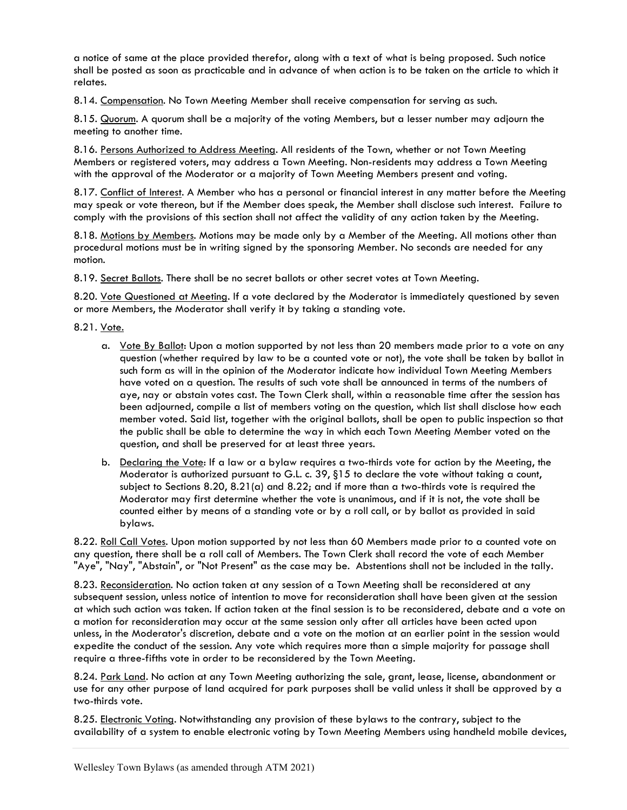a notice of same at the place provided therefor, along with a text of what is being proposed. Such notice shall be posted as soon as practicable and in advance of when action is to be taken on the article to which it relates.

8.14. Compensation. No Town Meeting Member shall receive compensation for serving as such.

8.15. Quorum. A quorum shall be a majority of the voting Members, but a lesser number may adjourn the meeting to another time.

8.16. Persons Authorized to Address Meeting. All residents of the Town, whether or not Town Meeting Members or registered voters, may address a Town Meeting. Non-residents may address a Town Meeting with the approval of the Moderator or a majority of Town Meeting Members present and voting.

8.17. Conflict of Interest. A Member who has a personal or financial interest in any matter before the Meeting may speak or vote thereon, but if the Member does speak, the Member shall disclose such interest. Failure to comply with the provisions of this section shall not affect the validity of any action taken by the Meeting.

8.18. Motions by Members. Motions may be made only by a Member of the Meeting. All motions other than procedural motions must be in writing signed by the sponsoring Member. No seconds are needed for any motion.

8.19. Secret Ballots. There shall be no secret ballots or other secret votes at Town Meeting.

8.20. Vote Questioned at Meeting. If a vote declared by the Moderator is immediately questioned by seven or more Members, the Moderator shall verify it by taking a standing vote.

8.21. Vote.

- a. Vote By Ballot: Upon a motion supported by not less than 20 members made prior to a vote on any question (whether required by law to be a counted vote or not), the vote shall be taken by ballot in such form as will in the opinion of the Moderator indicate how individual Town Meeting Members have voted on a question. The results of such vote shall be announced in terms of the numbers of aye, nay or abstain votes cast. The Town Clerk shall, within a reasonable time after the session has been adjourned, compile a list of members voting on the question, which list shall disclose how each member voted. Said list, together with the original ballots, shall be open to public inspection so that the public shall be able to determine the way in which each Town Meeting Member voted on the question, and shall be preserved for at least three years.
- b. Declaring the Vote: If a law or a bylaw requires a two-thirds vote for action by the Meeting, the Moderator is authorized pursuant to G.L. c. 39, §15 to declare the vote without taking a count, subject to Sections 8.20, 8.21(a) and 8.22; and if more than a two-thirds vote is required the Moderator may first determine whether the vote is unanimous, and if it is not, the vote shall be counted either by means of a standing vote or by a roll call, or by ballot as provided in said bylaws.

8.22. Roll Call Votes. Upon motion supported by not less than 60 Members made prior to a counted vote on any question, there shall be a roll call of Members. The Town Clerk shall record the vote of each Member "Aye", "Nay", "Abstain", or "Not Present" as the case may be. Abstentions shall not be included in the tally.

8.23. Reconsideration. No action taken at any session of a Town Meeting shall be reconsidered at any subsequent session, unless notice of intention to move for reconsideration shall have been given at the session at which such action was taken. If action taken at the final session is to be reconsidered, debate and a vote on a motion for reconsideration may occur at the same session only after all articles have been acted upon unless, in the Moderator's discretion, debate and a vote on the motion at an earlier point in the session would expedite the conduct of the session. Any vote which requires more than a simple majority for passage shall require a three-fifths vote in order to be reconsidered by the Town Meeting.

8.24. Park Land. No action at any Town Meeting authorizing the sale, grant, lease, license, abandonment or use for any other purpose of land acquired for park purposes shall be valid unless it shall be approved by a two-thirds vote.

8.25. Electronic Voting. Notwithstanding any provision of these bylaws to the contrary, subject to the availability of a system to enable electronic voting by Town Meeting Members using handheld mobile devices,